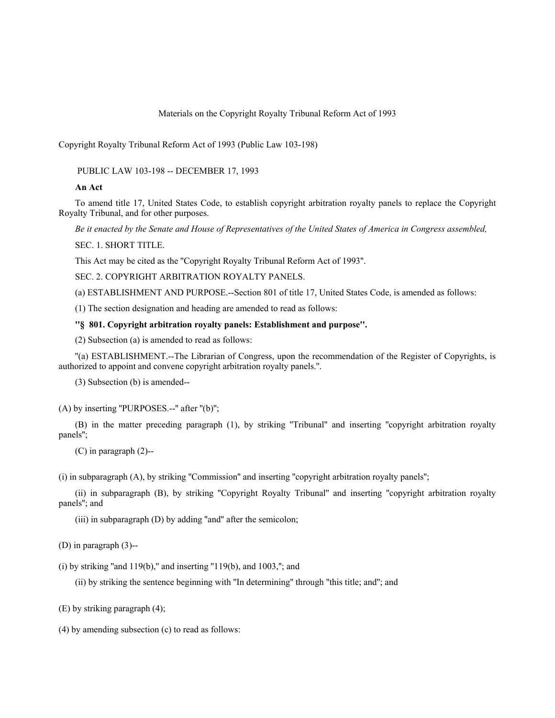#### Materials on the Copyright Royalty Tribunal Reform Act of 1993

Copyright Royalty Tribunal Reform Act of 1993 (Public Law 103-198)

PUBLIC LAW 103-198 -- DECEMBER 17, 1993

#### **An Act**

To amend title 17, United States Code, to establish copyright arbitration royalty panels to replace the Copyright Royalty Tribunal, and for other purposes.

*Be it enacted by the Senate and House of Representatives of the United States of America in Congress assembled,*

SEC. 1. SHORT TITLE.

This Act may be cited as the ''Copyright Royalty Tribunal Reform Act of 1993''.

SEC. 2. COPYRIGHT ARBITRATION ROYALTY PANELS.

(a) ESTABLISHMENT AND PURPOSE.--Section 801 of title 17, United States Code, is amended as follows:

(1) The section designation and heading are amended to read as follows:

# **''§ 801. Copyright arbitration royalty panels: Establishment and purpose''.**

(2) Subsection (a) is amended to read as follows:

''(a) ESTABLISHMENT.--The Librarian of Congress, upon the recommendation of the Register of Copyrights, is authorized to appoint and convene copyright arbitration royalty panels.''.

(3) Subsection (b) is amended--

(A) by inserting ''PURPOSES.--'' after ''(b)'';

(B) in the matter preceding paragraph (1), by striking ''Tribunal'' and inserting ''copyright arbitration royalty panels'';

(C) in paragraph (2)--

(i) in subparagraph (A), by striking ''Commission'' and inserting ''copyright arbitration royalty panels'';

(ii) in subparagraph (B), by striking ''Copyright Royalty Tribunal'' and inserting ''copyright arbitration royalty panels''; and

(iii) in subparagraph (D) by adding ''and'' after the semicolon;

(D) in paragraph (3)--

(i) by striking "and  $119(b)$ ," and inserting " $119(b)$ , and  $1003$ ,"; and

(ii) by striking the sentence beginning with ''In determining'' through ''this title; and''; and

(E) by striking paragraph (4);

(4) by amending subsection (c) to read as follows: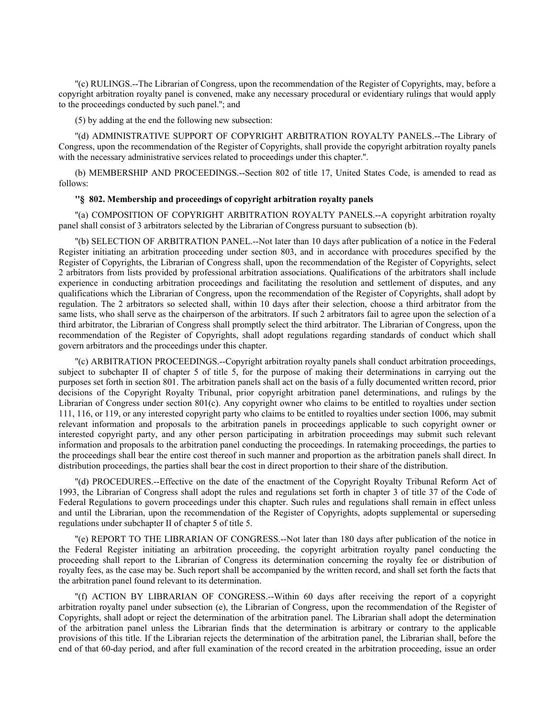''(c) RULINGS.--The Librarian of Congress, upon the recommendation of the Register of Copyrights, may, before a copyright arbitration royalty panel is convened, make any necessary procedural or evidentiary rulings that would apply to the proceedings conducted by such panel.''; and

(5) by adding at the end the following new subsection:

''(d) ADMINISTRATIVE SUPPORT OF COPYRIGHT ARBITRATION ROYALTY PANELS.--The Library of Congress, upon the recommendation of the Register of Copyrights, shall provide the copyright arbitration royalty panels with the necessary administrative services related to proceedings under this chapter.".

(b) MEMBERSHIP AND PROCEEDINGS.--Section 802 of title 17, United States Code, is amended to read as follows:

## **''§ 802. Membership and proceedings of copyright arbitration royalty panels**

''(a) COMPOSITION OF COPYRIGHT ARBITRATION ROYALTY PANELS.--A copyright arbitration royalty panel shall consist of 3 arbitrators selected by the Librarian of Congress pursuant to subsection (b).

''(b) SELECTION OF ARBITRATION PANEL.--Not later than 10 days after publication of a notice in the Federal Register initiating an arbitration proceeding under section 803, and in accordance with procedures specified by the Register of Copyrights, the Librarian of Congress shall, upon the recommendation of the Register of Copyrights, select 2 arbitrators from lists provided by professional arbitration associations. Qualifications of the arbitrators shall include experience in conducting arbitration proceedings and facilitating the resolution and settlement of disputes, and any qualifications which the Librarian of Congress, upon the recommendation of the Register of Copyrights, shall adopt by regulation. The 2 arbitrators so selected shall, within 10 days after their selection, choose a third arbitrator from the same lists, who shall serve as the chairperson of the arbitrators. If such 2 arbitrators fail to agree upon the selection of a third arbitrator, the Librarian of Congress shall promptly select the third arbitrator. The Librarian of Congress, upon the recommendation of the Register of Copyrights, shall adopt regulations regarding standards of conduct which shall govern arbitrators and the proceedings under this chapter.

''(c) ARBITRATION PROCEEDINGS.--Copyright arbitration royalty panels shall conduct arbitration proceedings, subject to subchapter II of chapter 5 of title 5, for the purpose of making their determinations in carrying out the purposes set forth in section 801. The arbitration panels shall act on the basis of a fully documented written record, prior decisions of the Copyright Royalty Tribunal, prior copyright arbitration panel determinations, and rulings by the Librarian of Congress under section 801(c). Any copyright owner who claims to be entitled to royalties under section 111, 116, or 119, or any interested copyright party who claims to be entitled to royalties under section 1006, may submit relevant information and proposals to the arbitration panels in proceedings applicable to such copyright owner or interested copyright party, and any other person participating in arbitration proceedings may submit such relevant information and proposals to the arbitration panel conducting the proceedings. In ratemaking proceedings, the parties to the proceedings shall bear the entire cost thereof in such manner and proportion as the arbitration panels shall direct. In distribution proceedings, the parties shall bear the cost in direct proportion to their share of the distribution.

''(d) PROCEDURES.--Effective on the date of the enactment of the Copyright Royalty Tribunal Reform Act of 1993, the Librarian of Congress shall adopt the rules and regulations set forth in chapter 3 of title 37 of the Code of Federal Regulations to govern proceedings under this chapter. Such rules and regulations shall remain in effect unless and until the Librarian, upon the recommendation of the Register of Copyrights, adopts supplemental or superseding regulations under subchapter II of chapter 5 of title 5.

''(e) REPORT TO THE LIBRARIAN OF CONGRESS.--Not later than 180 days after publication of the notice in the Federal Register initiating an arbitration proceeding, the copyright arbitration royalty panel conducting the proceeding shall report to the Librarian of Congress its determination concerning the royalty fee or distribution of royalty fees, as the case may be. Such report shall be accompanied by the written record, and shall set forth the facts that the arbitration panel found relevant to its determination.

''(f) ACTION BY LIBRARIAN OF CONGRESS.--Within 60 days after receiving the report of a copyright arbitration royalty panel under subsection (e), the Librarian of Congress, upon the recommendation of the Register of Copyrights, shall adopt or reject the determination of the arbitration panel. The Librarian shall adopt the determination of the arbitration panel unless the Librarian finds that the determination is arbitrary or contrary to the applicable provisions of this title. If the Librarian rejects the determination of the arbitration panel, the Librarian shall, before the end of that 60-day period, and after full examination of the record created in the arbitration proceeding, issue an order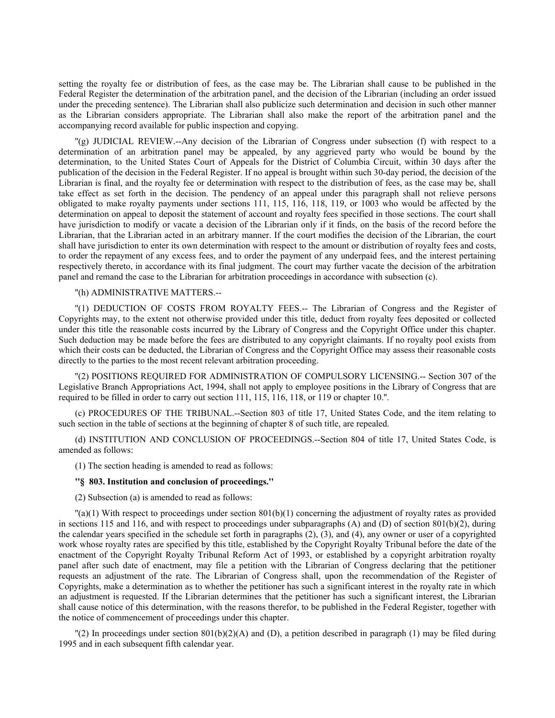setting the royalty fee or distribution of fees, as the case may be. The Librarian shall cause to be published in the Federal Register the determination of the arbitration panel, and the decision of the Librarian (including an order issued under the preceding sentence). The Librarian shall also publicize such determination and decision in such other manner as the Librarian considers appropriate. The Librarian shall also make the report of the arbitration panel and the accompanying record available for public inspection and copying.

''(g) JUDICIAL REVIEW.--Any decision of the Librarian of Congress under subsection (f) with respect to a determination of an arbitration panel may be appealed, by any aggrieved party who would be bound by the determination, to the United States Court of Appeals for the District of Columbia Circuit, within 30 days after the publication of the decision in the Federal Register. If no appeal is brought within such 30-day period, the decision of the Librarian is final, and the royalty fee or determination with respect to the distribution of fees, as the case may be, shall take effect as set forth in the decision. The pendency of an appeal under this paragraph shall not relieve persons obligated to make royalty payments under sections 111, 115, 116, 118, 119, or 1003 who would be affected by the determination on appeal to deposit the statement of account and royalty fees specified in those sections. The court shall have jurisdiction to modify or vacate a decision of the Librarian only if it finds, on the basis of the record before the Librarian, that the Librarian acted in an arbitrary manner. If the court modifies the decision of the Librarian, the court shall have jurisdiction to enter its own determination with respect to the amount or distribution of royalty fees and costs, to order the repayment of any excess fees, and to order the payment of any underpaid fees, and the interest pertaining respectively thereto, in accordance with its final judgment. The court may further vacate the decision of the arbitration panel and remand the case to the Librarian for arbitration proceedings in accordance with subsection (c).

#### ''(h) ADMINISTRATIVE MATTERS.--

''(1) DEDUCTION OF COSTS FROM ROYALTY FEES.-- The Librarian of Congress and the Register of Copyrights may, to the extent not otherwise provided under this title, deduct from royalty fees deposited or collected under this title the reasonable costs incurred by the Library of Congress and the Copyright Office under this chapter. Such deduction may be made before the fees are distributed to any copyright claimants. If no royalty pool exists from which their costs can be deducted, the Librarian of Congress and the Copyright Office may assess their reasonable costs directly to the parties to the most recent relevant arbitration proceeding.

''(2) POSITIONS REQUIRED FOR ADMINISTRATION OF COMPULSORY LICENSING.-- Section 307 of the Legislative Branch Appropriations Act, 1994, shall not apply to employee positions in the Library of Congress that are required to be filled in order to carry out section 111, 115, 116, 118, or 119 or chapter 10.''.

(c) PROCEDURES OF THE TRIBUNAL.--Section 803 of title 17, United States Code, and the item relating to such section in the table of sections at the beginning of chapter 8 of such title, are repealed.

(d) INSTITUTION AND CONCLUSION OF PROCEEDINGS.--Section 804 of title 17, United States Code, is amended as follows:

(1) The section heading is amended to read as follows:

### **''§ 803. Institution and conclusion of proceedings.''**

(2) Subsection (a) is amended to read as follows:

 $\binom{n}{k}$  (1) With respect to proceedings under section 801(b)(1) concerning the adjustment of royalty rates as provided in sections 115 and 116, and with respect to proceedings under subparagraphs  $(A)$  and  $(D)$  of section 801(b)(2), during the calendar years specified in the schedule set forth in paragraphs (2), (3), and (4), any owner or user of a copyrighted work whose royalty rates are specified by this title, established by the Copyright Royalty Tribunal before the date of the enactment of the Copyright Royalty Tribunal Reform Act of 1993, or established by a copyright arbitration royalty panel after such date of enactment, may file a petition with the Librarian of Congress declaring that the petitioner requests an adjustment of the rate. The Librarian of Congress shall, upon the recommendation of the Register of Copyrights, make a determination as to whether the petitioner has such a significant interest in the royalty rate in which an adjustment is requested. If the Librarian determines that the petitioner has such a significant interest, the Librarian shall cause notice of this determination, with the reasons therefor, to be published in the Federal Register, together with the notice of commencement of proceedings under this chapter.

''(2) In proceedings under section 801(b)(2)(A) and (D), a petition described in paragraph (1) may be filed during 1995 and in each subsequent fifth calendar year.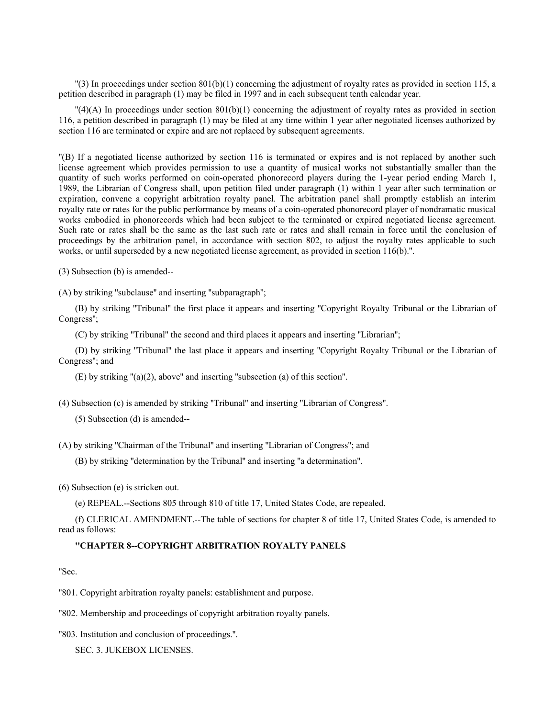$\binom{13}{3}$  In proceedings under section 801(b)(1) concerning the adjustment of royalty rates as provided in section 115, a petition described in paragraph (1) may be filed in 1997 and in each subsequent tenth calendar year.

 $\Gamma(4)$ (A) In proceedings under section 801(b)(1) concerning the adjustment of royalty rates as provided in section 116, a petition described in paragraph (1) may be filed at any time within 1 year after negotiated licenses authorized by section 116 are terminated or expire and are not replaced by subsequent agreements.

''(B) If a negotiated license authorized by section 116 is terminated or expires and is not replaced by another such license agreement which provides permission to use a quantity of musical works not substantially smaller than the quantity of such works performed on coin-operated phonorecord players during the 1-year period ending March 1, 1989, the Librarian of Congress shall, upon petition filed under paragraph (1) within 1 year after such termination or expiration, convene a copyright arbitration royalty panel. The arbitration panel shall promptly establish an interim royalty rate or rates for the public performance by means of a coin-operated phonorecord player of nondramatic musical works embodied in phonorecords which had been subject to the terminated or expired negotiated license agreement. Such rate or rates shall be the same as the last such rate or rates and shall remain in force until the conclusion of proceedings by the arbitration panel, in accordance with section 802, to adjust the royalty rates applicable to such works, or until superseded by a new negotiated license agreement, as provided in section 116(b).''.

(3) Subsection (b) is amended--

(A) by striking ''subclause'' and inserting ''subparagraph'';

(B) by striking ''Tribunal'' the first place it appears and inserting ''Copyright Royalty Tribunal or the Librarian of Congress'';

(C) by striking ''Tribunal'' the second and third places it appears and inserting ''Librarian'';

(D) by striking ''Tribunal'' the last place it appears and inserting ''Copyright Royalty Tribunal or the Librarian of Congress''; and

(E) by striking ''(a)(2), above'' and inserting ''subsection (a) of this section''.

(4) Subsection (c) is amended by striking ''Tribunal'' and inserting ''Librarian of Congress''.

(5) Subsection (d) is amended--

(A) by striking ''Chairman of the Tribunal'' and inserting ''Librarian of Congress''; and

(B) by striking ''determination by the Tribunal'' and inserting ''a determination''.

(6) Subsection (e) is stricken out.

(e) REPEAL.--Sections 805 through 810 of title 17, United States Code, are repealed.

(f) CLERICAL AMENDMENT.--The table of sections for chapter 8 of title 17, United States Code, is amended to read as follows:

# **''CHAPTER 8--COPYRIGHT ARBITRATION ROYALTY PANELS**

''Sec.

''801. Copyright arbitration royalty panels: establishment and purpose.

''802. Membership and proceedings of copyright arbitration royalty panels.

''803. Institution and conclusion of proceedings.''.

SEC. 3. JUKEBOX LICENSES.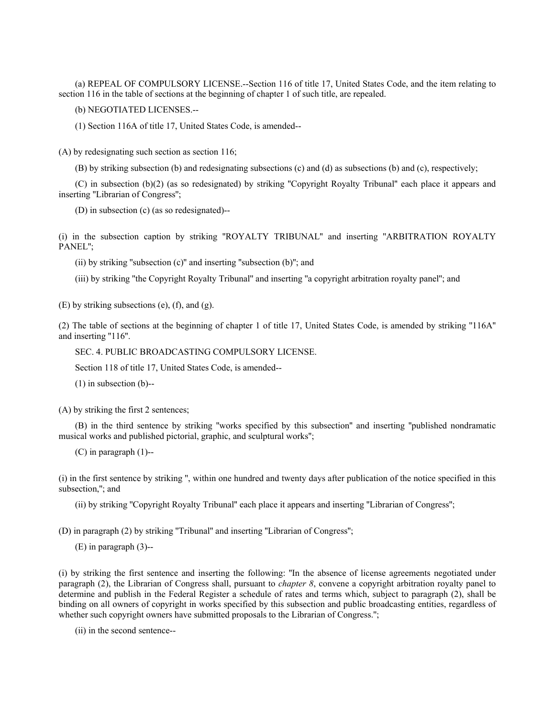(a) REPEAL OF COMPULSORY LICENSE.--Section 116 of title 17, United States Code, and the item relating to section 116 in the table of sections at the beginning of chapter 1 of such title, are repealed.

(b) NEGOTIATED LICENSES.--

(1) Section 116A of title 17, United States Code, is amended--

(A) by redesignating such section as section 116;

(B) by striking subsection (b) and redesignating subsections (c) and (d) as subsections (b) and (c), respectively;

(C) in subsection (b)(2) (as so redesignated) by striking ''Copyright Royalty Tribunal'' each place it appears and inserting ''Librarian of Congress'';

(D) in subsection (c) (as so redesignated)--

(i) in the subsection caption by striking ''ROYALTY TRIBUNAL'' and inserting ''ARBITRATION ROYALTY PANEL'';

(ii) by striking ''subsection (c)'' and inserting ''subsection (b)''; and

(iii) by striking ''the Copyright Royalty Tribunal'' and inserting ''a copyright arbitration royalty panel''; and

(E) by striking subsections (e), (f), and (g).

(2) The table of sections at the beginning of chapter 1 of title 17, United States Code, is amended by striking ''116A'' and inserting ''116''.

SEC. 4. PUBLIC BROADCASTING COMPULSORY LICENSE.

Section 118 of title 17, United States Code, is amended--

(1) in subsection (b)--

(A) by striking the first 2 sentences;

(B) in the third sentence by striking ''works specified by this subsection'' and inserting ''published nondramatic musical works and published pictorial, graphic, and sculptural works'';

(C) in paragraph (1)--

(i) in the first sentence by striking '', within one hundred and twenty days after publication of the notice specified in this subsection,''; and

(ii) by striking ''Copyright Royalty Tribunal'' each place it appears and inserting ''Librarian of Congress'';

(D) in paragraph (2) by striking ''Tribunal'' and inserting ''Librarian of Congress'';

(E) in paragraph (3)--

(i) by striking the first sentence and inserting the following: ''In the absence of license agreements negotiated under paragraph (2), the Librarian of Congress shall, pursuant to *chapter 8*, convene a copyright arbitration royalty panel to determine and publish in the Federal Register a schedule of rates and terms which, subject to paragraph (2), shall be binding on all owners of copyright in works specified by this subsection and public broadcasting entities, regardless of whether such copyright owners have submitted proposals to the Librarian of Congress.";

(ii) in the second sentence--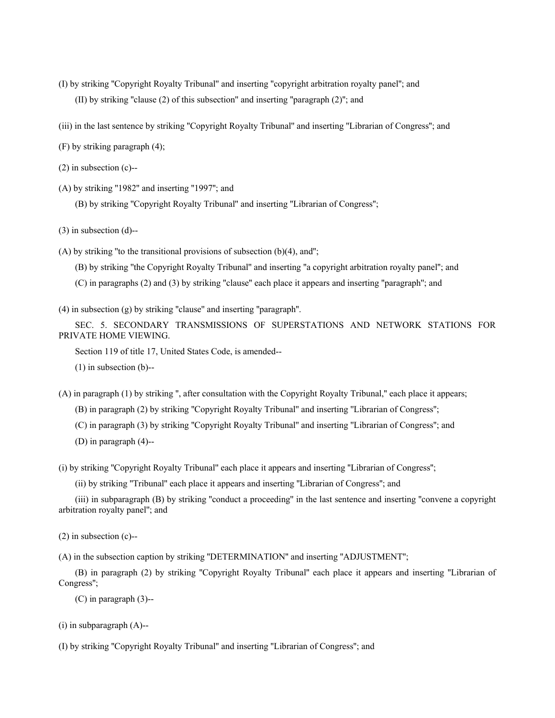- (I) by striking ''Copyright Royalty Tribunal'' and inserting ''copyright arbitration royalty panel''; and (II) by striking ''clause (2) of this subsection'' and inserting ''paragraph (2)''; and
- (iii) in the last sentence by striking ''Copyright Royalty Tribunal'' and inserting ''Librarian of Congress''; and
- (F) by striking paragraph (4);
- (2) in subsection (c)--
- (A) by striking ''1982'' and inserting ''1997''; and
	- (B) by striking ''Copyright Royalty Tribunal'' and inserting ''Librarian of Congress'';
- (3) in subsection (d)--
- (A) by striking ''to the transitional provisions of subsection (b)(4), and'';
	- (B) by striking ''the Copyright Royalty Tribunal'' and inserting ''a copyright arbitration royalty panel''; and
	- (C) in paragraphs (2) and (3) by striking ''clause'' each place it appears and inserting ''paragraph''; and
- (4) in subsection (g) by striking ''clause'' and inserting ''paragraph''.
- SEC. 5. SECONDARY TRANSMISSIONS OF SUPERSTATIONS AND NETWORK STATIONS FOR PRIVATE HOME VIEWING.
	- Section 119 of title 17, United States Code, is amended--
	- (1) in subsection (b)--

(A) in paragraph (1) by striking '', after consultation with the Copyright Royalty Tribunal,'' each place it appears;

- (B) in paragraph (2) by striking ''Copyright Royalty Tribunal'' and inserting ''Librarian of Congress'';
- (C) in paragraph (3) by striking ''Copyright Royalty Tribunal'' and inserting ''Librarian of Congress''; and
- (D) in paragraph (4)--
- (i) by striking ''Copyright Royalty Tribunal'' each place it appears and inserting ''Librarian of Congress'';
	- (ii) by striking ''Tribunal'' each place it appears and inserting ''Librarian of Congress''; and
- (iii) in subparagraph (B) by striking ''conduct a proceeding'' in the last sentence and inserting ''convene a copyright arbitration royalty panel''; and
- (2) in subsection (c)--
- (A) in the subsection caption by striking ''DETERMINATION'' and inserting ''ADJUSTMENT'';
- (B) in paragraph (2) by striking ''Copyright Royalty Tribunal'' each place it appears and inserting ''Librarian of Congress'';
	- (C) in paragraph (3)--
- $(i)$  in subparagraph  $(A)$ --
- (I) by striking ''Copyright Royalty Tribunal'' and inserting ''Librarian of Congress''; and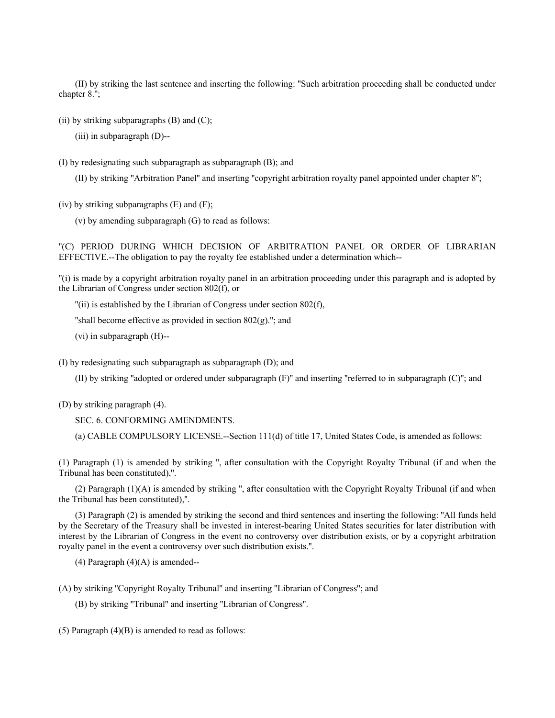(II) by striking the last sentence and inserting the following: ''Such arbitration proceeding shall be conducted under chapter 8.'';

(ii) by striking subparagraphs  $(B)$  and  $(C)$ ;

(iii) in subparagraph (D)--

(I) by redesignating such subparagraph as subparagraph (B); and

(II) by striking ''Arbitration Panel'' and inserting ''copyright arbitration royalty panel appointed under chapter 8'';

(iv) by striking subparagraphs  $(E)$  and  $(F)$ ;

(v) by amending subparagraph (G) to read as follows:

''(C) PERIOD DURING WHICH DECISION OF ARBITRATION PANEL OR ORDER OF LIBRARIAN EFFECTIVE.--The obligation to pay the royalty fee established under a determination which--

''(i) is made by a copyright arbitration royalty panel in an arbitration proceeding under this paragraph and is adopted by the Librarian of Congress under section 802(f), or

''(ii) is established by the Librarian of Congress under section 802(f),

"shall become effective as provided in section  $802(g)$ ."; and

(vi) in subparagraph (H)--

(I) by redesignating such subparagraph as subparagraph (D); and

(II) by striking ''adopted or ordered under subparagraph (F)'' and inserting ''referred to in subparagraph (C)''; and

(D) by striking paragraph (4).

SEC. 6. CONFORMING AMENDMENTS.

(a) CABLE COMPULSORY LICENSE.--Section 111(d) of title 17, United States Code, is amended as follows:

(1) Paragraph (1) is amended by striking '', after consultation with the Copyright Royalty Tribunal (if and when the Tribunal has been constituted),''.

(2) Paragraph (1)(A) is amended by striking '', after consultation with the Copyright Royalty Tribunal (if and when the Tribunal has been constituted),''.

(3) Paragraph (2) is amended by striking the second and third sentences and inserting the following: ''All funds held by the Secretary of the Treasury shall be invested in interest-bearing United States securities for later distribution with interest by the Librarian of Congress in the event no controversy over distribution exists, or by a copyright arbitration royalty panel in the event a controversy over such distribution exists.''.

 $(4)$  Paragraph  $(4)(A)$  is amended--

(A) by striking ''Copyright Royalty Tribunal'' and inserting ''Librarian of Congress''; and

(B) by striking ''Tribunal'' and inserting ''Librarian of Congress''.

(5) Paragraph  $(4)(B)$  is amended to read as follows: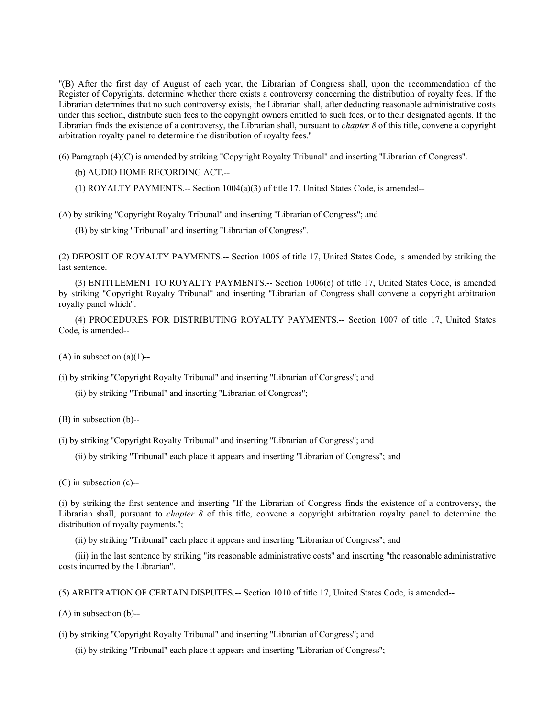''(B) After the first day of August of each year, the Librarian of Congress shall, upon the recommendation of the Register of Copyrights, determine whether there exists a controversy concerning the distribution of royalty fees. If the Librarian determines that no such controversy exists, the Librarian shall, after deducting reasonable administrative costs under this section, distribute such fees to the copyright owners entitled to such fees, or to their designated agents. If the Librarian finds the existence of a controversy, the Librarian shall, pursuant to *chapter 8* of this title, convene a copyright arbitration royalty panel to determine the distribution of royalty fees.''

(6) Paragraph (4)(C) is amended by striking ''Copyright Royalty Tribunal'' and inserting ''Librarian of Congress''.

(b) AUDIO HOME RECORDING ACT.--

(1) ROYALTY PAYMENTS.-- Section  $1004(a)(3)$  of title 17, United States Code, is amended--

(A) by striking ''Copyright Royalty Tribunal'' and inserting ''Librarian of Congress''; and

(B) by striking ''Tribunal'' and inserting ''Librarian of Congress''.

(2) DEPOSIT OF ROYALTY PAYMENTS.-- Section 1005 of title 17, United States Code, is amended by striking the last sentence.

(3) ENTITLEMENT TO ROYALTY PAYMENTS.-- Section 1006(c) of title 17, United States Code, is amended by striking ''Copyright Royalty Tribunal'' and inserting ''Librarian of Congress shall convene a copyright arbitration royalty panel which''.

(4) PROCEDURES FOR DISTRIBUTING ROYALTY PAYMENTS.-- Section 1007 of title 17, United States Code, is amended--

 $(A)$  in subsection  $(a)(1)$ --

(i) by striking ''Copyright Royalty Tribunal'' and inserting ''Librarian of Congress''; and

(ii) by striking ''Tribunal'' and inserting ''Librarian of Congress'';

(B) in subsection (b)--

(i) by striking ''Copyright Royalty Tribunal'' and inserting ''Librarian of Congress''; and

(ii) by striking ''Tribunal'' each place it appears and inserting ''Librarian of Congress''; and

(C) in subsection (c)--

(i) by striking the first sentence and inserting ''If the Librarian of Congress finds the existence of a controversy, the Librarian shall, pursuant to *chapter 8* of this title, convene a copyright arbitration royalty panel to determine the distribution of royalty payments.'';

(ii) by striking ''Tribunal'' each place it appears and inserting ''Librarian of Congress''; and

(iii) in the last sentence by striking ''its reasonable administrative costs'' and inserting ''the reasonable administrative costs incurred by the Librarian''.

(5) ARBITRATION OF CERTAIN DISPUTES.-- Section 1010 of title 17, United States Code, is amended--

(A) in subsection (b)--

(i) by striking ''Copyright Royalty Tribunal'' and inserting ''Librarian of Congress''; and

(ii) by striking ''Tribunal'' each place it appears and inserting ''Librarian of Congress'';